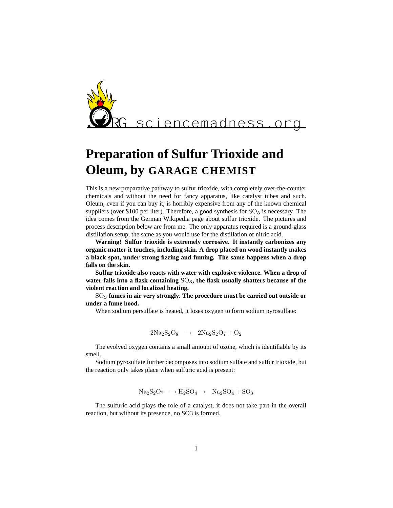

## **Preparation of Sulfur Trioxide and Oleum, by GARAGE CHEMIST**

This is a new preparative pathway to sulfur trioxide, with completely over-the-counter chemicals and without the need for fancy apparatus, like catalyst tubes and such. Oleum, even if you can buy it, is horribly expensive from any of the known chemical suppliers (over \$100 per liter). Therefore, a good synthesis for  $SO_3$  is necessary. The idea comes from the German Wikipedia page about sulfur trioxide. The pictures and process description below are from me. The only apparatus required is a ground-glass distillation setup, the same as you would use for the distillation of nitric acid.

**Warning! Sulfur trioxide is extremely corrosive. It instantly carbonizes any organic matter it touches, including skin. A drop placed on wood instantly makes a black spot, under strong fizzing and fuming. The same happens when a drop falls on the skin.**

**Sulfur trioxide also reacts with water with explosive violence. When a drop of** water falls into a flask containing  $SO_3$ , the flask usually shatters because of the **violent reaction and localized heating.**

SO<sup>3</sup> **fumes in air very strongly. The procedure must be carried out outside or under a fume hood.**

When sodium persulfate is heated, it loses oxygen to form sodium pyrosulfate:

$$
2Na_2S_2O_8 \rightarrow 2Na_2S_2O_7 + O_2
$$

The evolved oxygen contains a small amount of ozone, which is identifiable by its smell.

Sodium pyrosulfate further decomposes into sodium sulfate and sulfur trioxide, but the reaction only takes place when sulfuric acid is present:

$$
Na_2S_2O_7 \rightarrow H_2SO_4 \rightarrow Na_2SO_4 + SO_3
$$

The sulfuric acid plays the role of a catalyst, it does not take part in the overall reaction, but without its presence, no SO3 is formed.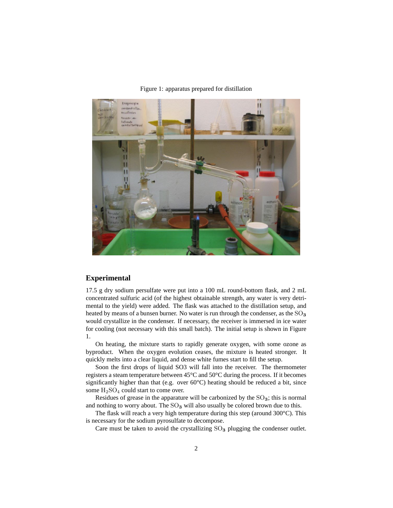

Figure 1: apparatus prepared for distillation

## **Experimental**

17.5 g dry sodium persulfate were put into a 100 mL round-bottom flask, and 2 mL concentrated sulfuric acid (of the highest obtainable strength, any water is very detrimental to the yield) were added. The flask was attached to the distillation setup, and heated by means of a bunsen burner. No water is run through the condenser, as the  $SO_3$ would crystallize in the condenser. If necessary, the receiver is immersed in ice water for cooling (not necessary with this small batch). The initial setup is shown in Figure 1.

On heating, the mixture starts to rapidly generate oxygen, with some ozone as byproduct. When the oxygen evolution ceases, the mixture is heated stronger. It quickly melts into a clear liquid, and dense white fumes start to fill the setup.

Soon the first drops of liquid SO3 will fall into the receiver. The thermometer registers a steam temperature between 45°C and 50°C during the process. If it becomes significantly higher than that (e.g. over  $60^{\circ}$ C) heating should be reduced a bit, since some  $H_2SO_4$  could start to come over.

Residues of grease in the apparature will be carbonized by the  $SO_3$ ; this is normal and nothing to worry about. The  $SO_3$  will also usually be colored brown due to this.

The flask will reach a very high temperature during this step (around 300°C). This is necessary for the sodium pyrosulfate to decompose.

Care must be taken to avoid the crystallizing  $SO_3$  plugging the condenser outlet.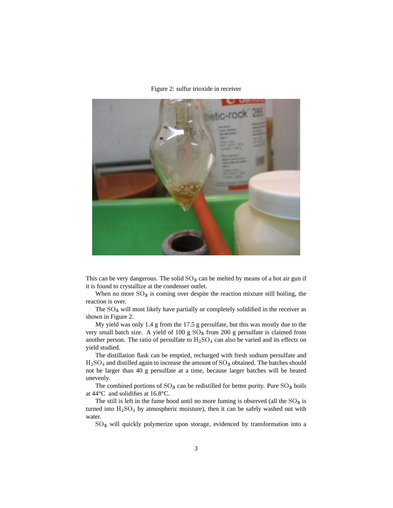Figure 2: sulfur trioxide in receiver



This can be very dangerous. The solid  $SO<sub>3</sub>$  can be melted by means of a hot air gun if it is found to crystallize at the condenser outlet.

When no more  $SO_3$  is coming over despite the reaction mixture still boiling, the reaction is over.

The  $SO<sub>3</sub>$  will most likely have partially or completely solidified in the receiver as shown in Figure 2.

My yield was only 1.4 g from the 17.5 g persulfate, but this was mostly due to the very small batch size. A yield of 100 g  $SO<sub>3</sub>$  from 200 g persulfate is claimed from another person. The ratio of persulfate to  $H_2SO_4$  can also be varied and its effects on yield studied.

The distillation flask can be emptied, recharged with fresh sodium persulfate and  $H<sub>2</sub>SO<sub>4</sub>$  and distilled again to increase the amount of  $SO<sub>3</sub>$  obtained. The batches should not be larger than 40 g persulfate at a time, because larger batches will be heated unevenly.

The combined portions of  $SO_3$  can be redistilled for better purity. Pure  $SO_3$  boils at 44°C and solidifies at 16.8°C.

The still is left in the fume hood until no more fuming is observed (all the  $SO_3$  is turned into  $H<sub>2</sub>SO<sub>4</sub>$  by atmospheric moisture), then it can be safely washed out with water.

SO<sub>3</sub> will quickly polymerize upon storage, evidenced by transformation into a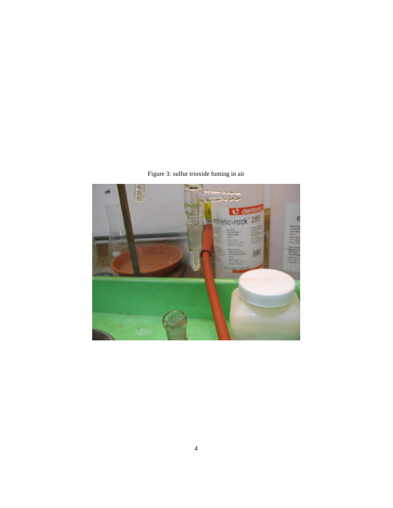Figure 3: sulfur trioxide fuming in air